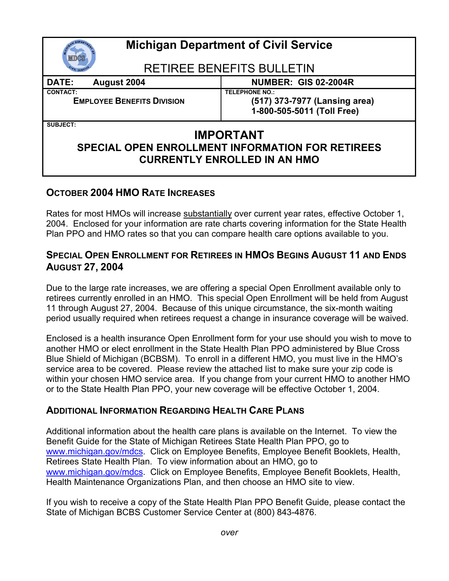| <b>Michigan Department of Civil Service</b>                                                                                    |                                                                                      |
|--------------------------------------------------------------------------------------------------------------------------------|--------------------------------------------------------------------------------------|
| <b>RETIREE BENEFITS BULLETIN</b>                                                                                               |                                                                                      |
| DATE:<br>August 2004                                                                                                           | <b>NUMBER: GIS 02-2004R</b>                                                          |
| <b>CONTACT:</b><br><b>EMPLOYEE BENEFITS DIVISION</b>                                                                           | <b>TELEPHONE NO.:</b><br>(517) 373-7977 (Lansing area)<br>1-800-505-5011 (Toll Free) |
| <b>SUBJECT:</b><br><b>IMPORTANT</b><br>SPECIAL OPEN ENROLLMENT INFORMATION FOR RETIREES<br><b>CURRENTLY ENROLLED IN AN HMO</b> |                                                                                      |

## **OCTOBER 2004 HMO RATE INCREASES**

Rates for most HMOs will increase substantially over current year rates, effective October 1, 2004. Enclosed for your information are rate charts covering information for the State Health Plan PPO and HMO rates so that you can compare health care options available to you.

## **SPECIAL OPEN ENROLLMENT FOR RETIREES IN HMOS BEGINS AUGUST 11 AND ENDS AUGUST 27, 2004**

Due to the large rate increases, we are offering a special Open Enrollment available only to retirees currently enrolled in an HMO. This special Open Enrollment will be held from August 11 through August 27, 2004. Because of this unique circumstance, the six-month waiting period usually required when retirees request a change in insurance coverage will be waived.

Enclosed is a health insurance Open Enrollment form for your use should you wish to move to another HMO or elect enrollment in the State Health Plan PPO administered by Blue Cross Blue Shield of Michigan (BCBSM). To enroll in a different HMO, you must live in the HMO's service area to be covered. Please review the attached list to make sure your zip code is within your chosen HMO service area. If you change from your current HMO to another HMO or to the State Health Plan PPO, your new coverage will be effective October 1, 2004.

## **ADDITIONAL INFORMATION REGARDING HEALTH CARE PLANS**

Additional information about the health care plans is available on the Internet. To view the Benefit Guide for the State of Michigan Retirees State Health Plan PPO, go to www.michigan.gov/mdcs. Click on Employee Benefits, Employee Benefit Booklets, Health, Retirees State Health Plan. To view information about an HMO, go to www.michigan.gov/mdcs. Click on Employee Benefits, Employee Benefit Booklets, Health, Health Maintenance Organizations Plan, and then choose an HMO site to view.

If you wish to receive a copy of the State Health Plan PPO Benefit Guide, please contact the State of Michigan BCBS Customer Service Center at (800) 843-4876.